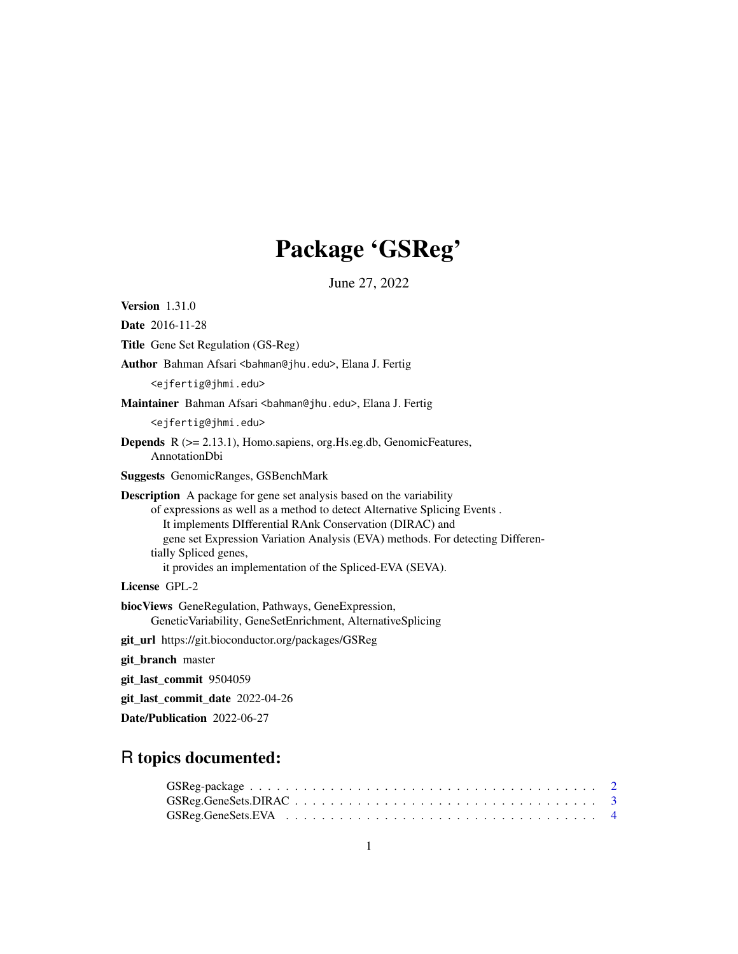# Package 'GSReg'

June 27, 2022

Version 1.31.0 Date 2016-11-28 Title Gene Set Regulation (GS-Reg) Author Bahman Afsari <br/>bahman@jhu.edu>, Elana J. Fertig <ejfertig@jhmi.edu> Maintainer Bahman Afsari <br/>bahman@jhu.edu>, Elana J. Fertig <ejfertig@jhmi.edu> Depends R (>= 2.13.1), Homo.sapiens, org.Hs.eg.db, GenomicFeatures, AnnotationDbi Suggests GenomicRanges, GSBenchMark Description A package for gene set analysis based on the variability of expressions as well as a method to detect Alternative Splicing Events . It implements DIfferential RAnk Conservation (DIRAC) and gene set Expression Variation Analysis (EVA) methods. For detecting Differentially Spliced genes, it provides an implementation of the Spliced-EVA (SEVA). License GPL-2 biocViews GeneRegulation, Pathways, GeneExpression, GeneticVariability, GeneSetEnrichment, AlternativeSplicing git\_url https://git.bioconductor.org/packages/GSReg git\_branch master git\_last\_commit 9504059 git\_last\_commit\_date 2022-04-26

# R topics documented:

Date/Publication 2022-06-27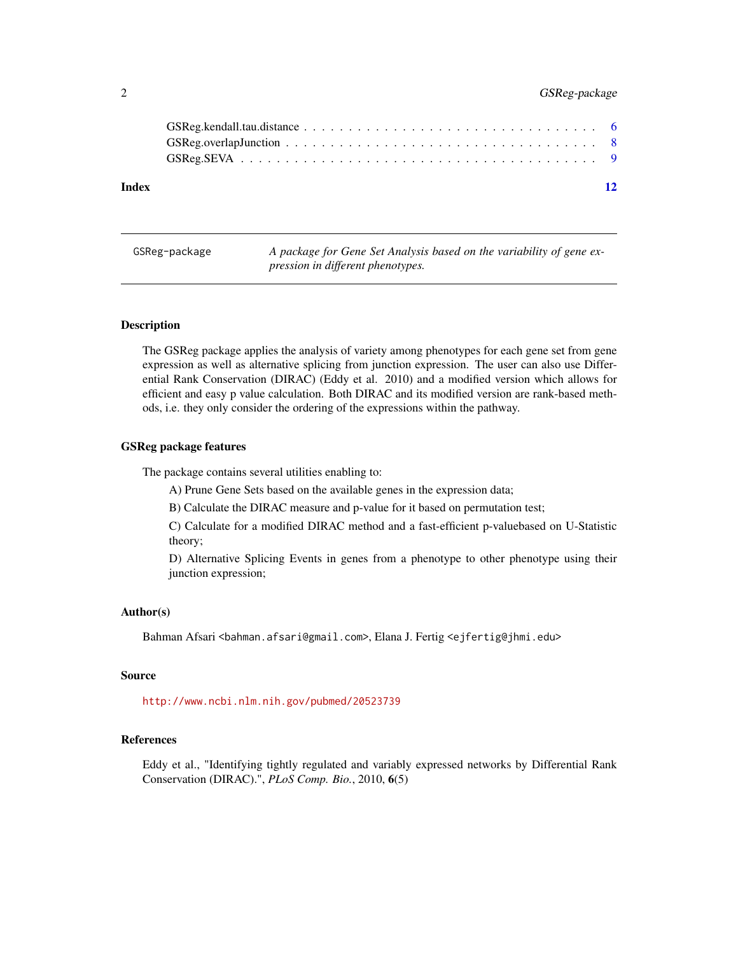#### <span id="page-1-0"></span>2 GSReg-package

| Index |  |
|-------|--|

| GSReg-package | A package for Gene Set Analysis based on the variability of gene ex- |
|---------------|----------------------------------------------------------------------|
|               | pression in different phenotypes.                                    |

#### Description

The GSReg package applies the analysis of variety among phenotypes for each gene set from gene expression as well as alternative splicing from junction expression. The user can also use Differential Rank Conservation (DIRAC) (Eddy et al. 2010) and a modified version which allows for efficient and easy p value calculation. Both DIRAC and its modified version are rank-based methods, i.e. they only consider the ordering of the expressions within the pathway.

#### GSReg package features

The package contains several utilities enabling to:

A) Prune Gene Sets based on the available genes in the expression data;

B) Calculate the DIRAC measure and p-value for it based on permutation test;

C) Calculate for a modified DIRAC method and a fast-efficient p-valuebased on U-Statistic theory;

D) Alternative Splicing Events in genes from a phenotype to other phenotype using their junction expression;

#### Author(s)

Bahman Afsari <br/>bahman.afsari@gmail.com>, Elana J. Fertig <ejfertig@jhmi.edu>

#### Source

<http://www.ncbi.nlm.nih.gov/pubmed/20523739>

### References

Eddy et al., "Identifying tightly regulated and variably expressed networks by Differential Rank Conservation (DIRAC).", *PLoS Comp. Bio.*, 2010, 6(5)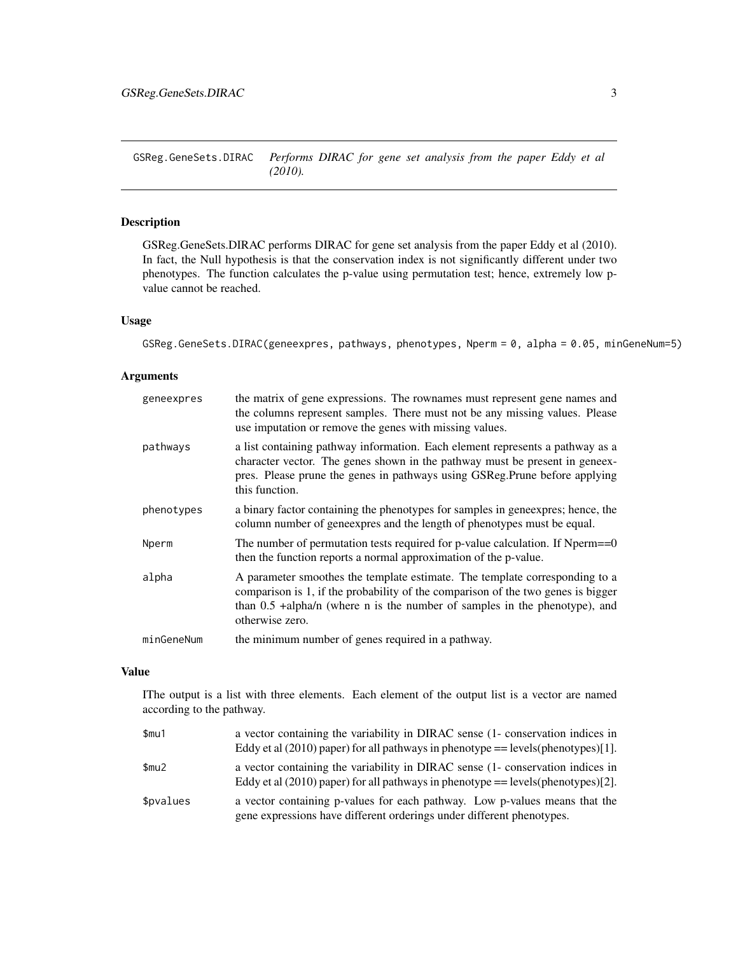<span id="page-2-0"></span>GSReg.GeneSets.DIRAC *Performs DIRAC for gene set analysis from the paper Eddy et al (2010).*

#### Description

GSReg.GeneSets.DIRAC performs DIRAC for gene set analysis from the paper Eddy et al (2010). In fact, the Null hypothesis is that the conservation index is not significantly different under two phenotypes. The function calculates the p-value using permutation test; hence, extremely low pvalue cannot be reached.

#### Usage

GSReg.GeneSets.DIRAC(geneexpres, pathways, phenotypes, Nperm = 0, alpha = 0.05, minGeneNum=5)

#### Arguments

| geneexpres | the matrix of gene expressions. The rownames must represent gene names and<br>the columns represent samples. There must not be any missing values. Please<br>use imputation or remove the genes with missing values.                                               |
|------------|--------------------------------------------------------------------------------------------------------------------------------------------------------------------------------------------------------------------------------------------------------------------|
| pathways   | a list containing pathway information. Each element represents a pathway as a<br>character vector. The genes shown in the pathway must be present in geneex-<br>pres. Please prune the genes in pathways using GSReg.Prune before applying<br>this function.       |
| phenotypes | a binary factor containing the phenotypes for samples in geneexpres; hence, the<br>column number of geneexpres and the length of phenotypes must be equal.                                                                                                         |
| Nperm      | The number of permutation tests required for p-value calculation. If Nperm $==0$<br>then the function reports a normal approximation of the p-value.                                                                                                               |
| alpha      | A parameter smoothes the template estimate. The template corresponding to a<br>comparison is 1, if the probability of the comparison of the two genes is bigger<br>than $0.5$ +alpha/n (where n is the number of samples in the phenotype), and<br>otherwise zero. |
| minGeneNum | the minimum number of genes required in a pathway.                                                                                                                                                                                                                 |

#### Value

IThe output is a list with three elements. Each element of the output list is a vector are named according to the pathway.

| \$mu1     | a vector containing the variability in DIRAC sense (1- conservation indices in<br>Eddy et al $(2010)$ paper) for all pathways in phenotype == levels(phenotypes)[1]. |
|-----------|----------------------------------------------------------------------------------------------------------------------------------------------------------------------|
| \$mu2     | a vector containing the variability in DIRAC sense (1- conservation indices in<br>Eddy et al $(2010)$ paper) for all pathways in phenotype == levels(phenotypes)[2]. |
| \$pvalues | a vector containing p-values for each pathway. Low p-values means that the<br>gene expressions have different orderings under different phenotypes.                  |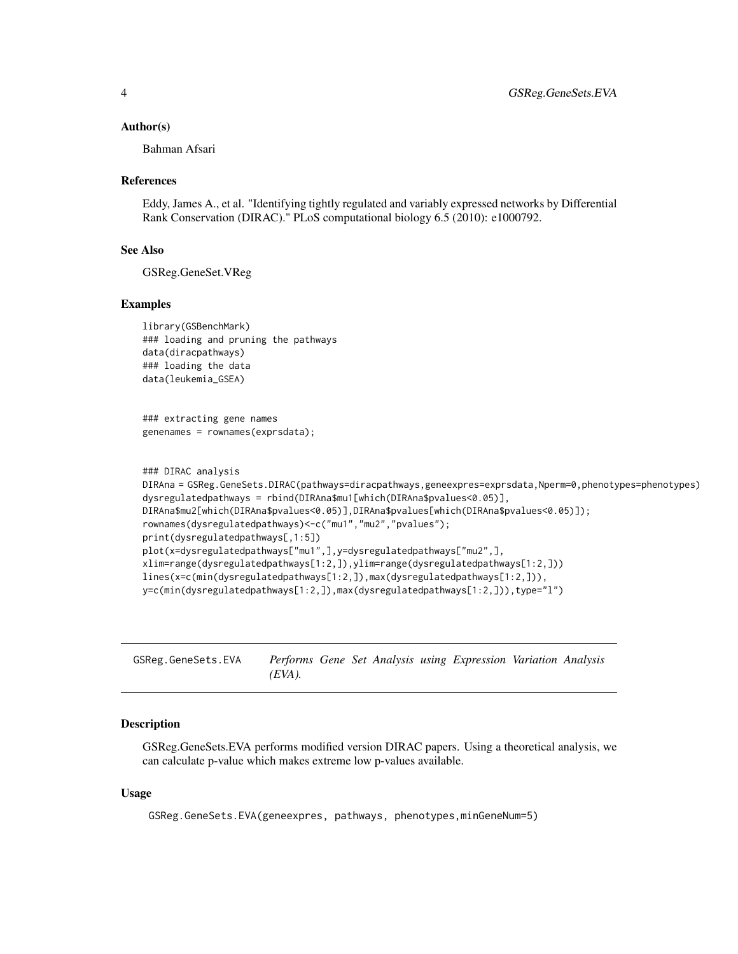#### <span id="page-3-0"></span>Author(s)

Bahman Afsari

#### References

Eddy, James A., et al. "Identifying tightly regulated and variably expressed networks by Differential Rank Conservation (DIRAC)." PLoS computational biology 6.5 (2010): e1000792.

#### See Also

GSReg.GeneSet.VReg

#### Examples

```
library(GSBenchMark)
### loading and pruning the pathways
data(diracpathways)
### loading the data
data(leukemia_GSEA)
```

```
### extracting gene names
genenames = rownames(exprsdata);
```

```
### DIRAC analysis
DIRAna = GSReg.GeneSets.DIRAC(pathways=diracpathways,geneexpres=exprsdata,Nperm=0,phenotypes=phenotypes)
dysregulatedpathways = rbind(DIRAna$mu1[which(DIRAna$pvalues<0.05)],
DIRAna$mu2[which(DIRAna$pvalues<0.05)],DIRAna$pvalues[which(DIRAna$pvalues<0.05)]);
rownames(dysregulatedpathways)<-c("mu1","mu2","pvalues");
print(dysregulatedpathways[,1:5])
plot(x=dysregulatedpathways["mu1",],y=dysregulatedpathways["mu2",],
xlim=range(dysregulatedpathways[1:2,]),ylim=range(dysregulatedpathways[1:2,]))
lines(x=c(min(dysregulatedpathways[1:2,]),max(dysregulatedpathways[1:2,])),
y=c(min(dysregulatedpathways[1:2,]),max(dysregulatedpathways[1:2,])),type="l")
```
GSReg.GeneSets.EVA *Performs Gene Set Analysis using Expression Variation Analysis (EVA).*

#### **Description**

GSReg.GeneSets.EVA performs modified version DIRAC papers. Using a theoretical analysis, we can calculate p-value which makes extreme low p-values available.

#### Usage

GSReg.GeneSets.EVA(geneexpres, pathways, phenotypes,minGeneNum=5)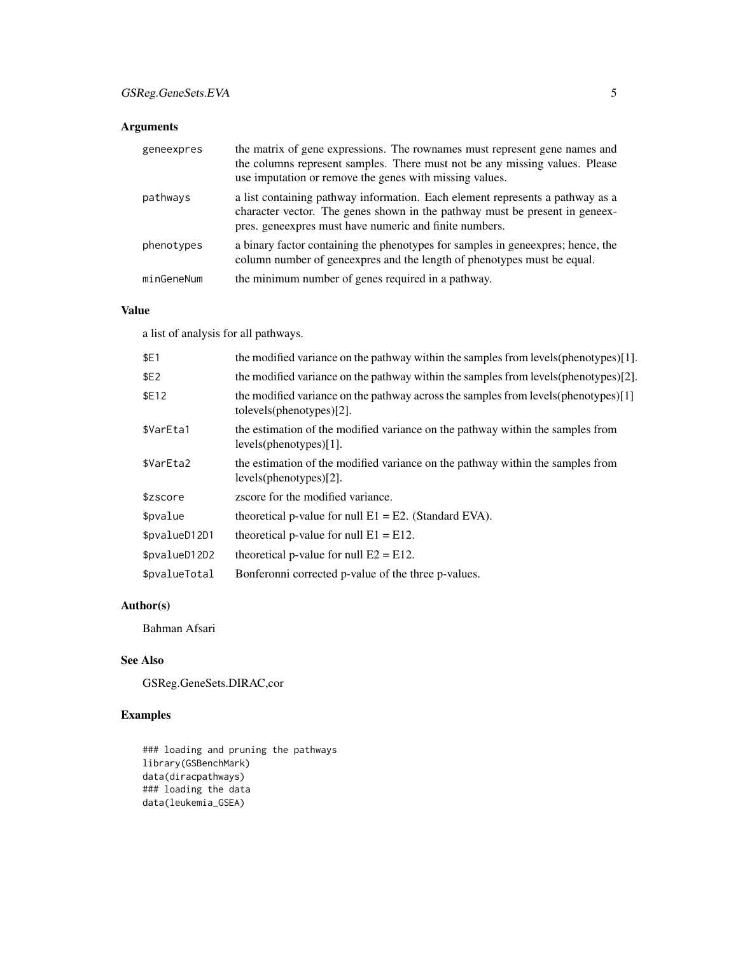### Arguments

| geneexpres | the matrix of gene expressions. The rownames must represent gene names and<br>the columns represent samples. There must not be any missing values. Please<br>use imputation or remove the genes with missing values.   |
|------------|------------------------------------------------------------------------------------------------------------------------------------------------------------------------------------------------------------------------|
| pathways   | a list containing pathway information. Each element represents a pathway as a<br>character vector. The genes shown in the pathway must be present in geneex-<br>pres. geneexpres must have numeric and finite numbers. |
| phenotypes | a binary factor containing the phenotypes for samples in geneexpres; hence, the<br>column number of geneexpres and the length of phenotypes must be equal.                                                             |
| minGeneNum | the minimum number of genes required in a pathway.                                                                                                                                                                     |

#### Value

a list of analysis for all pathways.

| \$E1          | the modified variance on the pathway within the samples from levels (phenotypes) [1].                              |
|---------------|--------------------------------------------------------------------------------------------------------------------|
| \$E2          | the modified variance on the pathway within the samples from levels(phenotypes)[2].                                |
| \$E12         | the modified variance on the pathway across the samples from levels (phenotypes) [1]<br>to levels(phenotypes) [2]. |
| \$VarEta1     | the estimation of the modified variance on the pathway within the samples from<br>levels(phenotypes)[1].           |
| \$VarEta2     | the estimation of the modified variance on the pathway within the samples from<br>levels(phenotypes)[2].           |
| \$zscore      | zscore for the modified variance.                                                                                  |
| \$pvalue      | theoretical p-value for null $E1 = E2$ . (Standard EVA).                                                           |
| \$pvalueD12D1 | theoretical p-value for null $E1 = E12$ .                                                                          |
| \$pvalueD12D2 | theoretical p-value for null $E2 = E12$ .                                                                          |
| \$pvalueTotal | Bonferonni corrected p-value of the three p-values.                                                                |

### Author(s)

Bahman Afsari

# See Also

GSReg.GeneSets.DIRAC,cor

# Examples

### loading and pruning the pathways library(GSBenchMark) data(diracpathways) ### loading the data data(leukemia\_GSEA)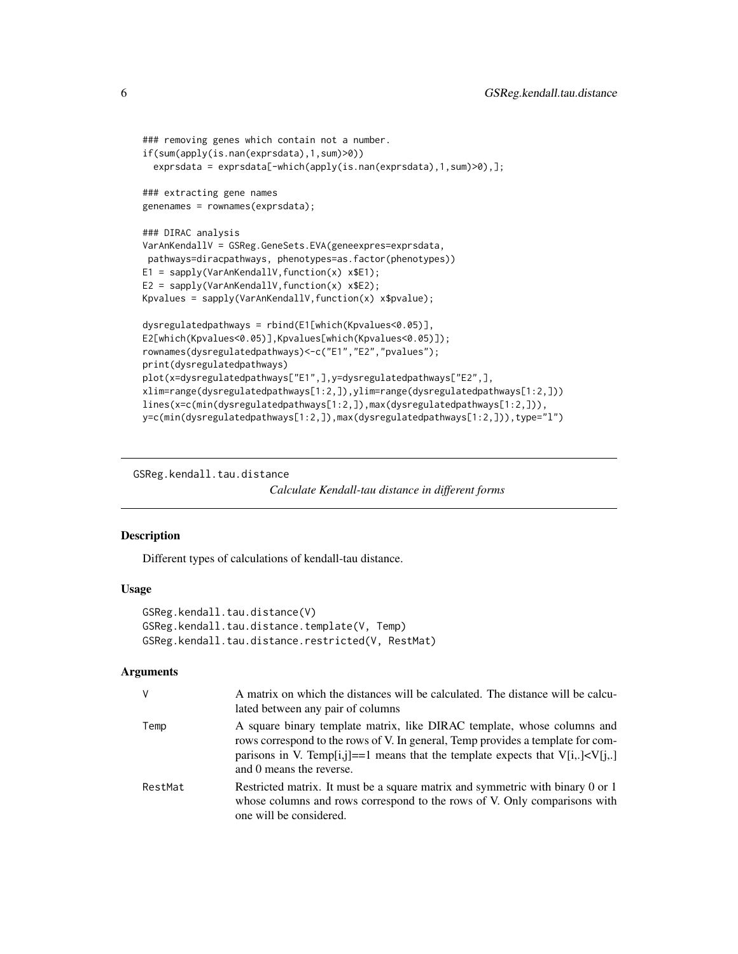```
### removing genes which contain not a number.
if(sum(apply(is.nan(exprsdata),1,sum)>0))
 exprsdata = exprsdata[-which(apply(is.nan(exprsdata),1,sum)>0),];
### extracting gene names
genenames = rownames(exprsdata);
### DIRAC analysis
VarAnKendallV = GSReg.GeneSets.EVA(geneexpres=exprsdata,
pathways=diracpathways, phenotypes=as.factor(phenotypes))
E1 = sapply(VarAnKendallV,function(x) x$E1);
E2 = sapply(VarAnKendallV, function(x) x$E2);
Kpvalues = sapply(VarAnKendallV,function(x) x$pvalue);
dysregulatedpathways = rbind(E1[which(Kpvalues<0.05)],
E2[which(Kpvalues<0.05)],Kpvalues[which(Kpvalues<0.05)]);
rownames(dysregulatedpathways)<-c("E1","E2","pvalues");
print(dysregulatedpathways)
plot(x=dysregulatedpathways["E1",],y=dysregulatedpathways["E2",],
xlim=range(dysregulatedpathways[1:2,]),ylim=range(dysregulatedpathways[1:2,]))
lines(x=c(min(dysregulatedpathways[1:2,]),max(dysregulatedpathways[1:2,])),
y=c(min(dysregulatedpathways[1:2,]),max(dysregulatedpathways[1:2,])),type="l")
```
GSReg.kendall.tau.distance

*Calculate Kendall-tau distance in different forms*

#### Description

Different types of calculations of kendall-tau distance.

#### Usage

```
GSReg.kendall.tau.distance(V)
GSReg.kendall.tau.distance.template(V, Temp)
GSReg.kendall.tau.distance.restricted(V, RestMat)
```
#### Arguments

| V       | A matrix on which the distances will be calculated. The distance will be calcu-<br>lated between any pair of columns                                                                                                                                                           |
|---------|--------------------------------------------------------------------------------------------------------------------------------------------------------------------------------------------------------------------------------------------------------------------------------|
| Temp    | A square binary template matrix, like DIRAC template, whose columns and<br>rows correspond to the rows of V. In general, Temp provides a template for com-<br>parisons in V. Temp[i,j]==1 means that the template expects that $V[i, .] < V[i, .]$<br>and 0 means the reverse. |
| RestMat | Restricted matrix. It must be a square matrix and symmetric with binary 0 or 1<br>whose columns and rows correspond to the rows of V. Only comparisons with<br>one will be considered.                                                                                         |

<span id="page-5-0"></span>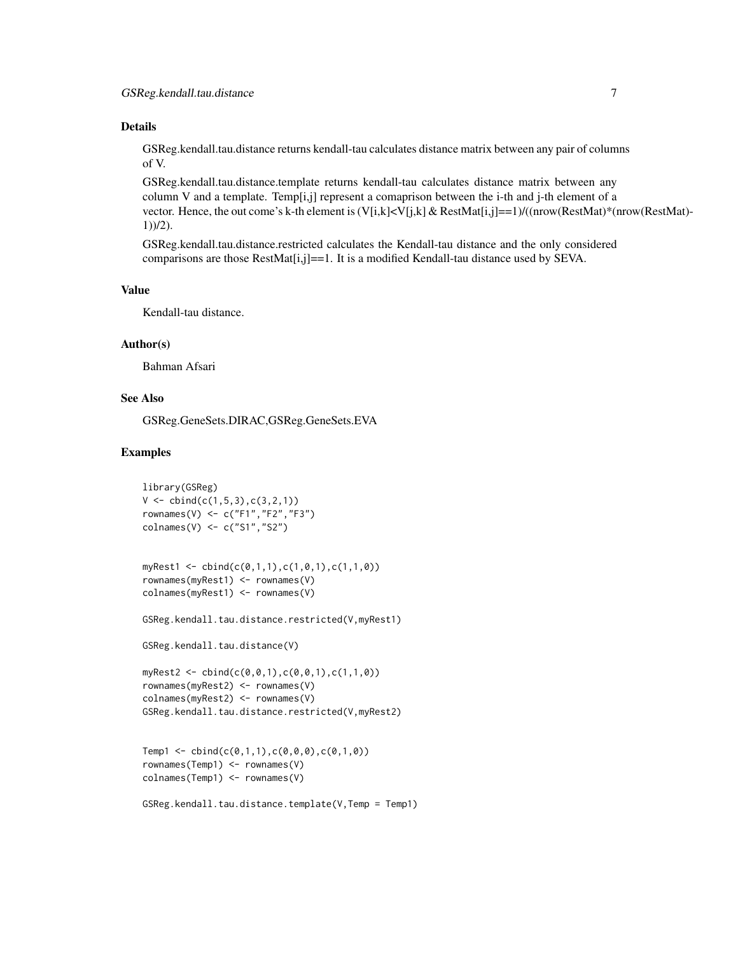#### Details

GSReg.kendall.tau.distance returns kendall-tau calculates distance matrix between any pair of columns of V.

GSReg.kendall.tau.distance.template returns kendall-tau calculates distance matrix between any column V and a template. Temp[i,j] represent a comaprison between the i-th and j-th element of a vector. Hence, the out come's k-th element is (V[i,k]<V[j,k] & RestMat[i,j]==1)/((nrow(RestMat)\*(nrow(RestMat)-1))/2).

GSReg.kendall.tau.distance.restricted calculates the Kendall-tau distance and the only considered comparisons are those RestMat[i,j]==1. It is a modified Kendall-tau distance used by SEVA.

#### Value

Kendall-tau distance.

#### Author(s)

Bahman Afsari

#### See Also

GSReg.GeneSets.DIRAC,GSReg.GeneSets.EVA

#### Examples

```
library(GSReg)
V \leftarrow \text{cbind}(c(1, 5, 3), c(3, 2, 1))rownames(V) <- c("F1","F2","F3")
colnames(V) <- c("S1","S2")
```

```
myRest1 <- cbind(c(0,1,1),c(1,0,1),c(1,1,0))
rownames(myRest1) <- rownames(V)
colnames(myRest1) <- rownames(V)
```
GSReg.kendall.tau.distance.restricted(V,myRest1)

```
GSReg.kendall.tau.distance(V)
```

```
myRest2 <- cbind(c(0,0,1),c(0,0,1),c(1,1,0))
rownames(myRest2) <- rownames(V)
colnames(myRest2) <- rownames(V)
GSReg.kendall.tau.distance.restricted(V,myRest2)
```

```
Temp1 <- cbind(c(0,1,1),c(0,0,0),c(0,1,0))
rownames(Temp1) <- rownames(V)
colnames(Temp1) <- rownames(V)
```

```
GSReg.kendall.tau.distance.template(V,Temp = Temp1)
```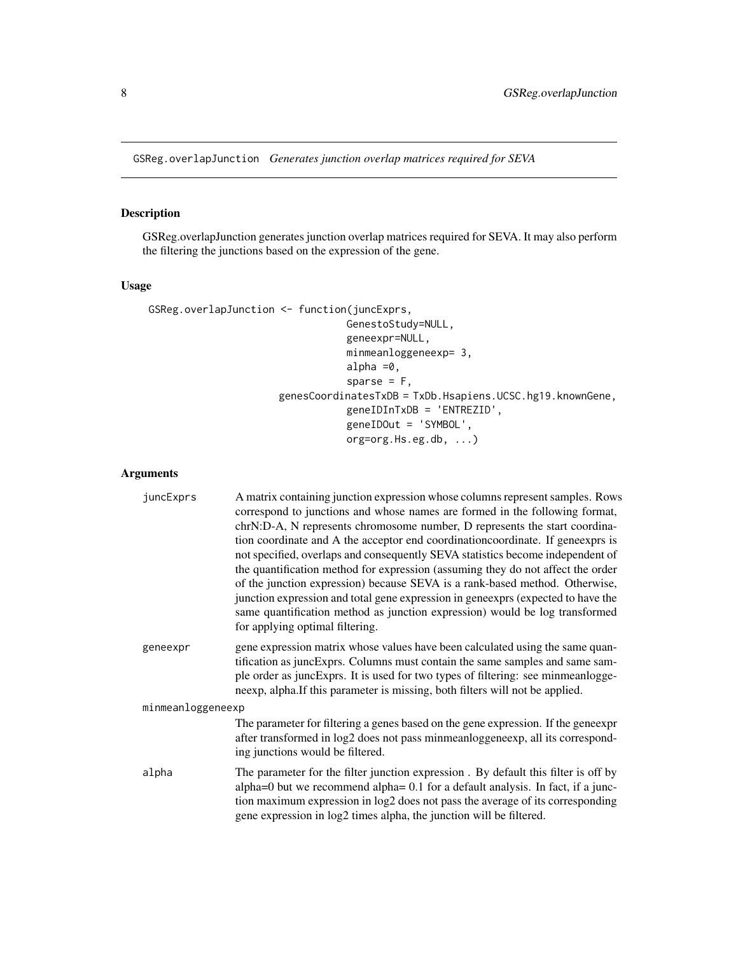<span id="page-7-0"></span>GSReg.overlapJunction *Generates junction overlap matrices required for SEVA*

#### Description

GSReg.overlapJunction generates junction overlap matrices required for SEVA. It may also perform the filtering the junctions based on the expression of the gene.

#### Usage

```
GSReg.overlapJunction <- function(juncExprs,
                                 GenestoStudy=NULL,
                                 geneexpr=NULL,
                                 minmeanloggeneexp= 3,
                                 alpha =0,
                                  sparse = F,
                      genesCoordinatesTxDB = TxDb.Hsapiens.UCSC.hg19.knownGene,
                                 geneIDInTxDB = 'ENTREZID',
                                 geneIDOut = 'SYMBOL',
                                 org=org.Hs.eg.db, ...)
```
#### Arguments

| juncExprs         | A matrix containing junction expression whose columns represent samples. Rows<br>correspond to junctions and whose names are formed in the following format,<br>chrN:D-A, N represents chromosome number, D represents the start coordina-<br>tion coordinate and A the acceptor end coordination coordinate. If geneexprs is<br>not specified, overlaps and consequently SEVA statistics become independent of<br>the quantification method for expression (assuming they do not affect the order<br>of the junction expression) because SEVA is a rank-based method. Otherwise,<br>junction expression and total gene expression in geneexprs (expected to have the<br>same quantification method as junction expression) would be log transformed<br>for applying optimal filtering. |
|-------------------|-----------------------------------------------------------------------------------------------------------------------------------------------------------------------------------------------------------------------------------------------------------------------------------------------------------------------------------------------------------------------------------------------------------------------------------------------------------------------------------------------------------------------------------------------------------------------------------------------------------------------------------------------------------------------------------------------------------------------------------------------------------------------------------------|
| geneexpr          | gene expression matrix whose values have been calculated using the same quan-<br>tification as juncExprs. Columns must contain the same samples and same sam-<br>ple order as juncExprs. It is used for two types of filtering: see minmeanlogge-<br>neexp, alpha. If this parameter is missing, both filters will not be applied.                                                                                                                                                                                                                                                                                                                                                                                                                                                      |
| minmeanloggeneexp |                                                                                                                                                                                                                                                                                                                                                                                                                                                                                                                                                                                                                                                                                                                                                                                         |
|                   | The parameter for filtering a genes based on the gene expression. If the geneexpr<br>after transformed in log2 does not pass minmeanloggeneexp, all its correspond-<br>ing junctions would be filtered.                                                                                                                                                                                                                                                                                                                                                                                                                                                                                                                                                                                 |
| alpha             | The parameter for the filter junction expression. By default this filter is off by<br>alpha=0 but we recommend alpha= 0.1 for a default analysis. In fact, if a junc-<br>tion maximum expression in log2 does not pass the average of its corresponding<br>gene expression in log2 times alpha, the junction will be filtered.                                                                                                                                                                                                                                                                                                                                                                                                                                                          |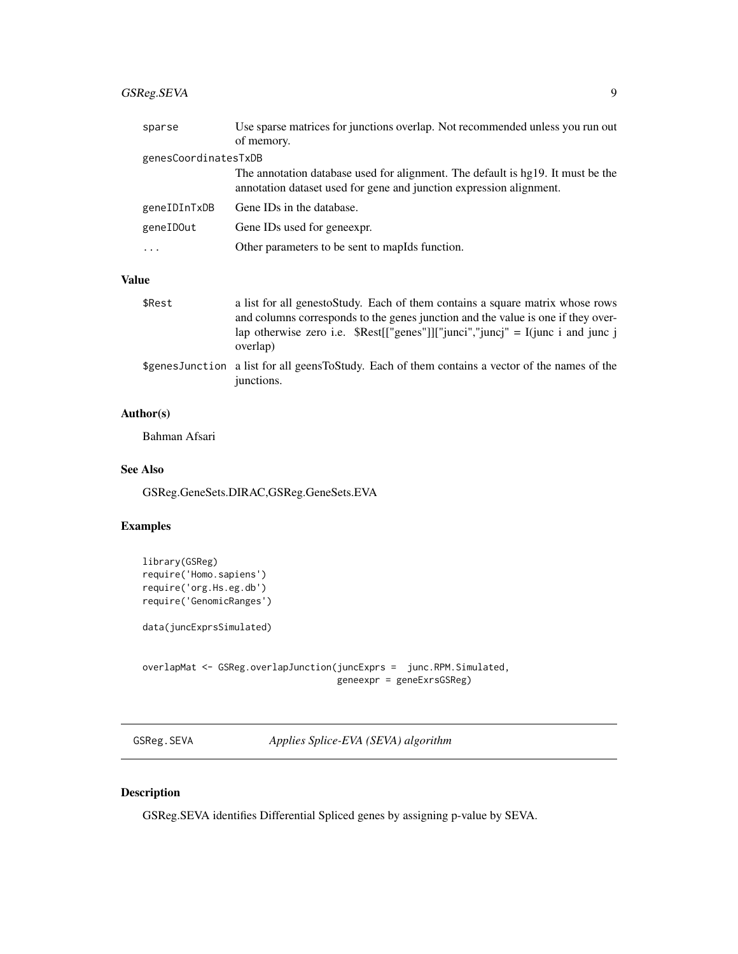# <span id="page-8-0"></span>GSReg.SEVA 9

| sparse               | Use sparse matrices for junctions overlap. Not recommended unless you run out<br>of memory.                                                            |
|----------------------|--------------------------------------------------------------------------------------------------------------------------------------------------------|
| genesCoordinatesTxDB |                                                                                                                                                        |
|                      | The annotation database used for alignment. The default is hg19. It must be the<br>annotation dataset used for gene and junction expression alignment. |
| geneIDInTxDB         | Gene IDs in the database.                                                                                                                              |
| geneIDOut            | Gene IDs used for geneexpr.                                                                                                                            |
|                      | Other parameters to be sent to mapIds function.                                                                                                        |
|                      |                                                                                                                                                        |

#### Value

| \$Rest | a list for all genesto Study. Each of them contains a square matrix whose rows<br>and columns corresponds to the genes junction and the value is one if they over-<br>lap otherwise zero i.e. $\text{Rest}[[\text{''genes''}]][\text{''junci''}, \text{''juncj''} = I(\text{junc }i \text{ and } \text{junc }j)$<br>overlap) |
|--------|------------------------------------------------------------------------------------------------------------------------------------------------------------------------------------------------------------------------------------------------------------------------------------------------------------------------------|
|        | \$genesJunction a list for all geensToStudy. Each of them contains a vector of the names of the<br>junctions.                                                                                                                                                                                                                |

#### Author(s)

Bahman Afsari

#### See Also

GSReg.GeneSets.DIRAC,GSReg.GeneSets.EVA

#### Examples

```
library(GSReg)
require('Homo.sapiens')
require('org.Hs.eg.db')
require('GenomicRanges')
data(juncExprsSimulated)
overlapMat <- GSReg.overlapJunction(juncExprs = junc.RPM.Simulated,
                                    geneexpr = geneExrsGSReg)
```
GSReg.SEVA *Applies Splice-EVA (SEVA) algorithm*

#### Description

GSReg.SEVA identifies Differential Spliced genes by assigning p-value by SEVA.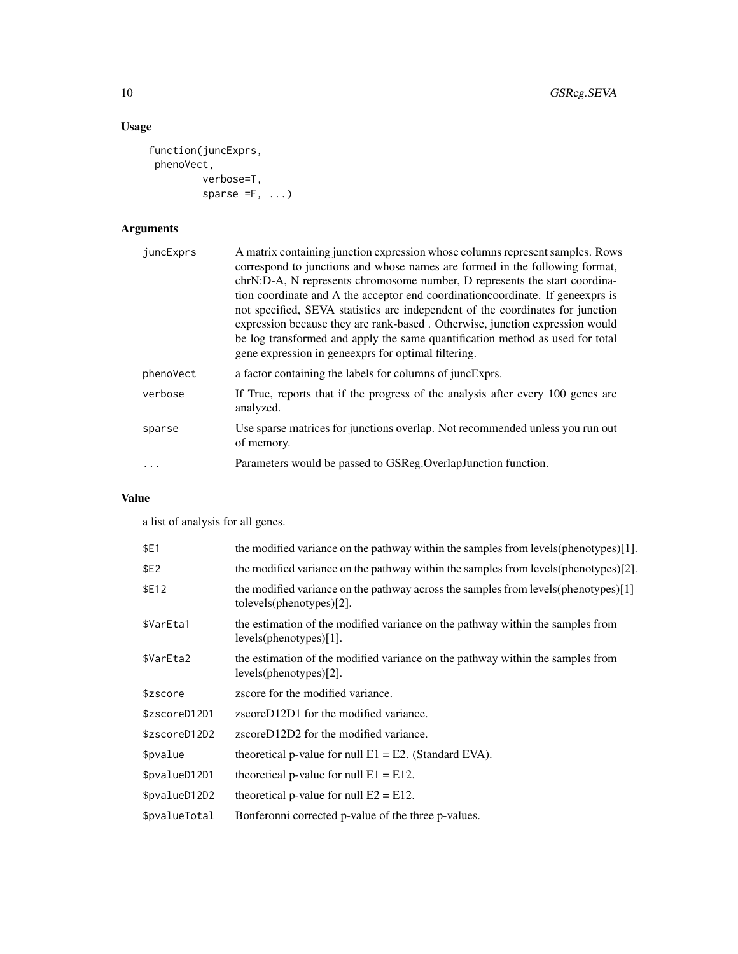# Usage

```
function(juncExprs,
phenoVect,
         verbose=T,
         sparse = F, \ldots)
```
# Arguments

| juncExprs | A matrix containing junction expression whose columns represent samples. Rows<br>correspond to junctions and whose names are formed in the following format,                                                                                                                                                                                                                                                                                                            |
|-----------|-------------------------------------------------------------------------------------------------------------------------------------------------------------------------------------------------------------------------------------------------------------------------------------------------------------------------------------------------------------------------------------------------------------------------------------------------------------------------|
|           | chrN:D-A, N represents chromosome number, D represents the start coordina-<br>tion coordinate and A the acceptor end coordination coordinate. If geneexprs is<br>not specified, SEVA statistics are independent of the coordinates for junction<br>expression because they are rank-based. Otherwise, junction expression would<br>be log transformed and apply the same quantification method as used for total<br>gene expression in geneexprs for optimal filtering. |
| phenoVect | a factor containing the labels for columns of juncExprs.                                                                                                                                                                                                                                                                                                                                                                                                                |
| verbose   | If True, reports that if the progress of the analysis after every 100 genes are<br>analyzed.                                                                                                                                                                                                                                                                                                                                                                            |
| sparse    | Use sparse matrices for junctions overlap. Not recommended unless you run out<br>of memory.                                                                                                                                                                                                                                                                                                                                                                             |
|           | Parameters would be passed to GSReg. Overlap Junction function.                                                                                                                                                                                                                                                                                                                                                                                                         |

# Value

a list of analysis for all genes.

| \$E1          | the modified variance on the pathway within the samples from levels (phenotypes) [1].                            |
|---------------|------------------------------------------------------------------------------------------------------------------|
| \$E2          | the modified variance on the pathway within the samples from levels (phenotypes)[2].                             |
| \$E12         | the modified variance on the pathway across the samples from levels (phenotypes) [1]<br>tolevels(phenotypes)[2]. |
| \$VarEta1     | the estimation of the modified variance on the pathway within the samples from<br>levels(phenotypes)[1].         |
| \$VarEta2     | the estimation of the modified variance on the pathway within the samples from<br>$levels(phenotypes)[2]$ .      |
| \$zscore      | zscore for the modified variance.                                                                                |
| \$zscoreD12D1 | zscoreD12D1 for the modified variance.                                                                           |
| \$zscoreD12D2 | zscoreD12D2 for the modified variance.                                                                           |
| \$pvalue      | theoretical p-value for null $E1 = E2$ . (Standard EVA).                                                         |
| \$pvalueD12D1 | theoretical p-value for null $E1 = E12$ .                                                                        |
| \$pvalueD12D2 | theoretical p-value for null $E2 = E12$ .                                                                        |
| \$pvalueTotal | Bonferonni corrected p-value of the three p-values.                                                              |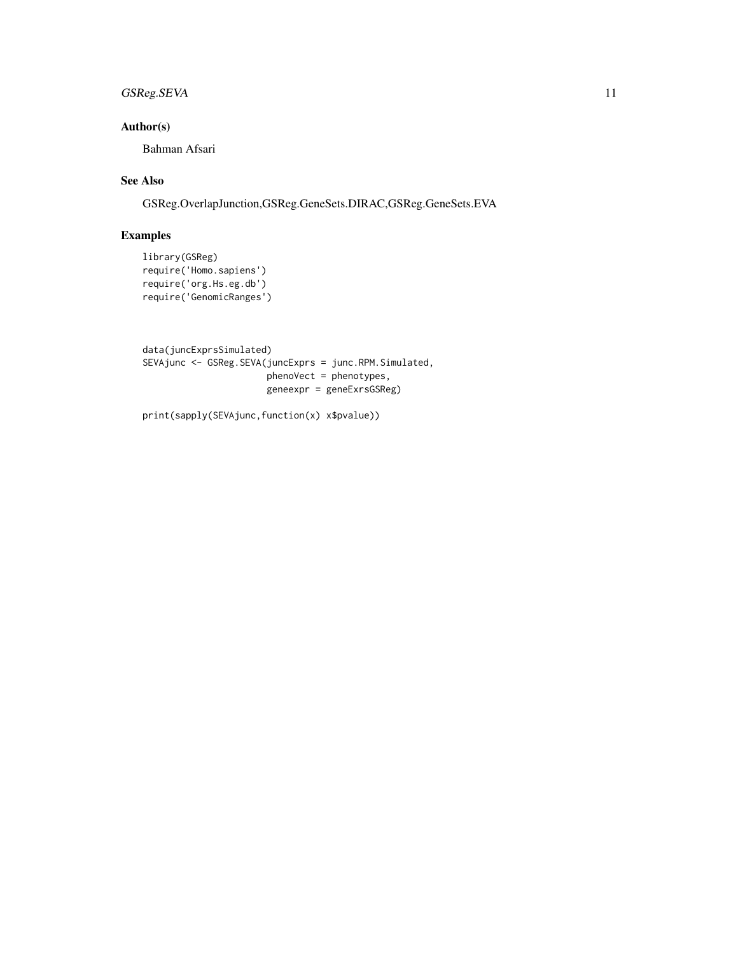# GSReg.SEVA 11

## Author(s)

Bahman Afsari

## See Also

GSReg.OverlapJunction,GSReg.GeneSets.DIRAC,GSReg.GeneSets.EVA

#### Examples

```
library(GSReg)
require('Homo.sapiens')
require('org.Hs.eg.db')
require('GenomicRanges')
```

```
data(juncExprsSimulated)
SEVAjunc <- GSReg.SEVA(juncExprs = junc.RPM.Simulated,
                       phenoVect = phenotypes,
                       geneexpr = geneExrsGSReg)
```
print(sapply(SEVAjunc,function(x) x\$pvalue))